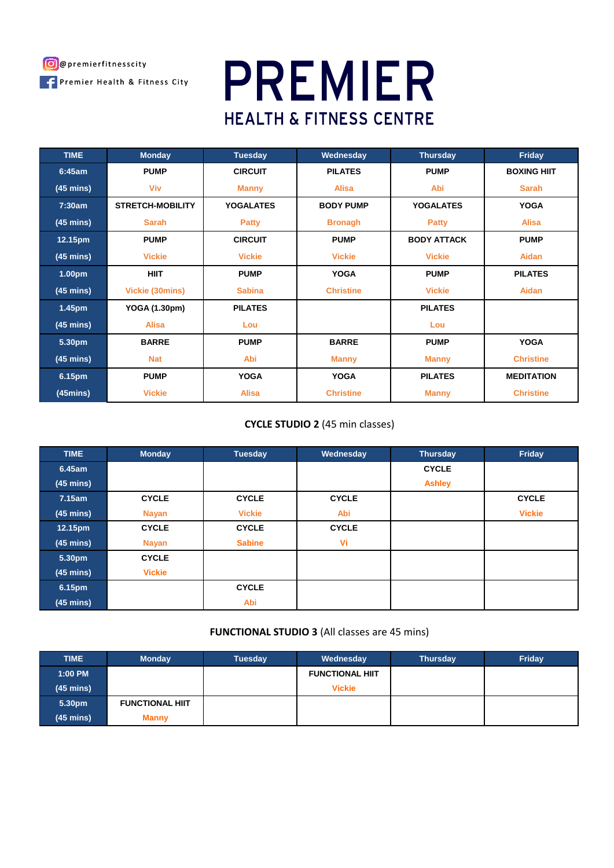

# **PREMIER HEALTH & FITNESS CENTRE**

| <b>TIME</b>         | <b>Monday</b>           | <b>Tuesday</b>   | Wednesday        | <b>Thursday</b>    | Friday             |
|---------------------|-------------------------|------------------|------------------|--------------------|--------------------|
| 6:45am              | <b>PUMP</b>             | <b>CIRCUIT</b>   | <b>PILATES</b>   | <b>PUMP</b>        | <b>BOXING HIIT</b> |
| $(45 \text{ mins})$ | Viv                     | <b>Manny</b>     | <b>Alisa</b>     | Abi                | <b>Sarah</b>       |
| 7:30am              | <b>STRETCH-MOBILITY</b> | <b>YOGALATES</b> | <b>BODY PUMP</b> | <b>YOGALATES</b>   | <b>YOGA</b>        |
| $(45 \text{ mins})$ | <b>Sarah</b>            | <b>Patty</b>     | <b>Bronagh</b>   | <b>Patty</b>       | <b>Alisa</b>       |
| 12.15pm             | <b>PUMP</b>             | <b>CIRCUIT</b>   | <b>PUMP</b>      | <b>BODY ATTACK</b> | <b>PUMP</b>        |
| $(45 \text{ mins})$ | <b>Vickie</b>           | <b>Vickie</b>    | <b>Vickie</b>    | <b>Vickie</b>      | <b>Aidan</b>       |
| 1.00pm              | <b>HIIT</b>             | <b>PUMP</b>      | <b>YOGA</b>      | <b>PUMP</b>        | <b>PILATES</b>     |
| $(45 \text{ mins})$ | Vickie (30mins)         | <b>Sabina</b>    | <b>Christine</b> | <b>Vickie</b>      | Aidan              |
| 1.45pm              | YOGA (1.30pm)           | <b>PILATES</b>   |                  | <b>PILATES</b>     |                    |
| $(45 \text{ mins})$ | <b>Alisa</b>            | Lou              |                  | Lou                |                    |
| 5.30pm              | <b>BARRE</b>            | <b>PUMP</b>      | <b>BARRE</b>     | <b>PUMP</b>        | <b>YOGA</b>        |
| $(45 \text{ mins})$ | <b>Nat</b>              | Abi              | <b>Manny</b>     | <b>Manny</b>       | <b>Christine</b>   |
| 6.15pm              | <b>PUMP</b>             | <b>YOGA</b>      | <b>YOGA</b>      | <b>PILATES</b>     | <b>MEDITATION</b>  |
| $(45 \text{mins})$  | <b>Vickie</b>           | <b>Alisa</b>     | <b>Christine</b> | <b>Manny</b>       | <b>Christine</b>   |

# **CYCLE STUDIO 2** (45 min classes)

| <b>TIME</b>         | <b>Monday</b> | <b>Tuesday</b> | Wednesday    | <b>Thursday</b> | Friday        |
|---------------------|---------------|----------------|--------------|-----------------|---------------|
| 6.45am              |               |                |              | <b>CYCLE</b>    |               |
| $(45 \text{ mins})$ |               |                |              | <b>Ashley</b>   |               |
| 7.15am              | <b>CYCLE</b>  | <b>CYCLE</b>   | <b>CYCLE</b> |                 | <b>CYCLE</b>  |
| $(45 \text{ mins})$ | <b>Nayan</b>  | <b>Vickie</b>  | Abi          |                 | <b>Vickie</b> |
| 12.15pm             | <b>CYCLE</b>  | <b>CYCLE</b>   | <b>CYCLE</b> |                 |               |
| $(45 \text{ mins})$ | <b>Nayan</b>  | <b>Sabine</b>  | Vi           |                 |               |
| 5.30pm              | <b>CYCLE</b>  |                |              |                 |               |
| $(45 \text{ mins})$ | <b>Vickie</b> |                |              |                 |               |
| 6.15pm              |               | <b>CYCLE</b>   |              |                 |               |
| $(45 \text{ mins})$ |               | Abi            |              |                 |               |

# **FUNCTIONAL STUDIO 3** (All classes are 45 mins)

| <b>TIME</b>         | <b>Monday</b>          | <b>Tuesday</b> | Wednesday              | <b>Thursday</b> | Friday |
|---------------------|------------------------|----------------|------------------------|-----------------|--------|
| 1:00 PM             |                        |                | <b>FUNCTIONAL HIIT</b> |                 |        |
| $(45 \text{ mins})$ |                        |                | <b>Vickie</b>          |                 |        |
| 5.30pm              | <b>FUNCTIONAL HIIT</b> |                |                        |                 |        |
| $(45 \text{ mins})$ | <b>Manny</b>           |                |                        |                 |        |